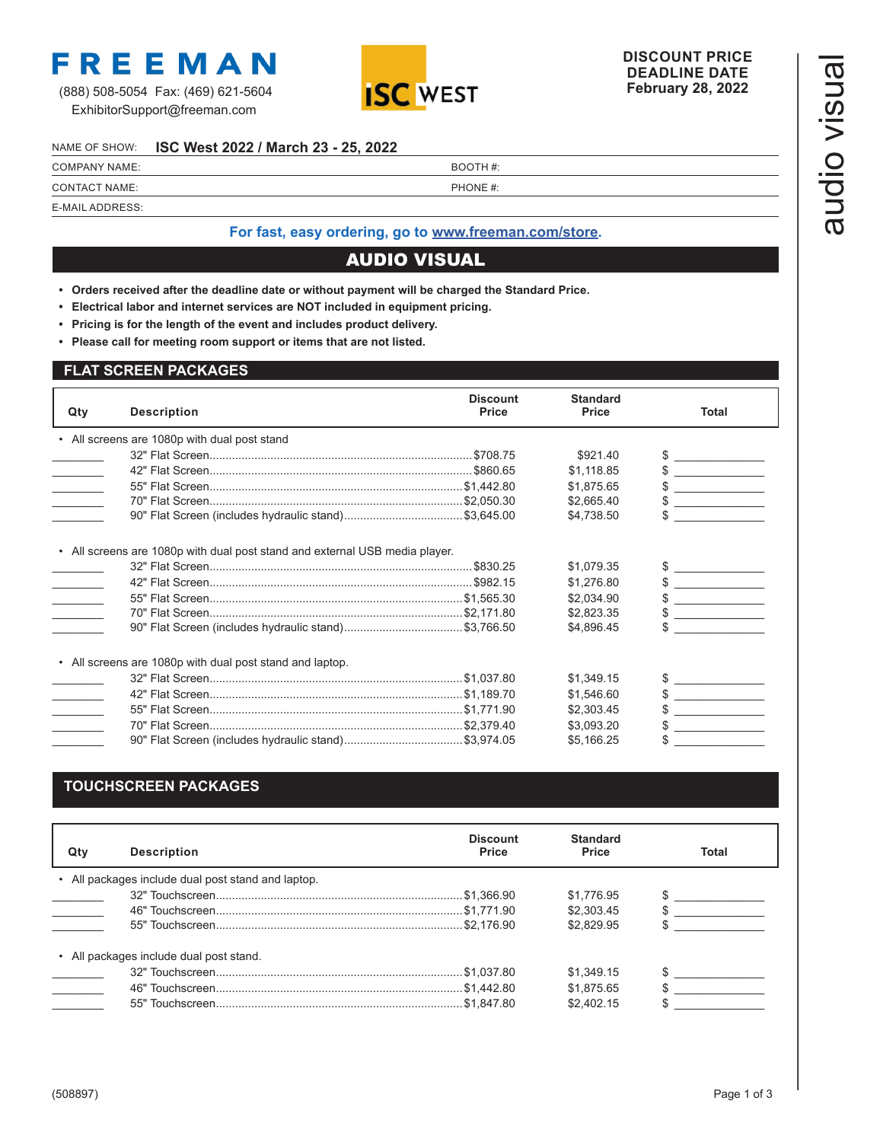

ExhibitorSupport@freeman.com



#### NAME OF SHOW: **ISC West 2022 / March 23 - 25, 2022**

|                      | NAME OF SHOW: ISC West 2022 / March 23 - 25, 2022 |          |  |
|----------------------|---------------------------------------------------|----------|--|
| <b>COMPANY NAME:</b> |                                                   | BOOTH #: |  |
| CONTACT NAME:        |                                                   | PHONE #: |  |
| E-MAIL ADDRESS:      |                                                   |          |  |

## **For fast, easy ordering, go to [www.freeman.com/store.](https://www.freemanco.com/store?utm_source=Forms&utm_medium=PDF)**

# AUDIO VISUAL

- **• Orders received after the deadline date or without payment will be charged the Standard Price.**
- **• Electrical labor and internet services are NOT included in equipment pricing.**
- **• Pricing is for the length of the event and includes product delivery.**
- **• Please call for meeting room support or items that are not listed.**

### **FLAT SCREEN PACKAGES**

| Qty             | <b>Description</b>                                                          | <b>Discount</b><br><b>Price</b> | <b>Standard</b><br><b>Price</b> | <b>Total</b>                                              |
|-----------------|-----------------------------------------------------------------------------|---------------------------------|---------------------------------|-----------------------------------------------------------|
|                 | • All screens are 1080p with dual post stand                                |                                 |                                 |                                                           |
|                 |                                                                             |                                 | \$921.40                        | <u> 1999 - Jan Jawa</u>                                   |
|                 |                                                                             |                                 | \$1,118.85                      | <b>Contract Contract Contract</b>                         |
| $\sim 10^{-10}$ |                                                                             |                                 | \$1,875.65                      |                                                           |
|                 |                                                                             |                                 | \$2,665.40                      | <b>Contract Contract Contract</b>                         |
|                 |                                                                             |                                 | \$4,738.50                      |                                                           |
|                 | • All screens are 1080p with dual post stand and external USB media player. |                                 |                                 |                                                           |
|                 |                                                                             |                                 | \$1,079.35                      | $\begin{array}{c}\n\circ \\ \circ \\ \hline\n\end{array}$ |
|                 |                                                                             |                                 | \$1,276.80                      | $\frac{1}{2}$                                             |
|                 |                                                                             |                                 | \$2,034.90                      | $\overline{\phantom{a}}$                                  |
|                 |                                                                             |                                 | \$2,823.35                      | the company of the company of the                         |
|                 | 90" Flat Screen (includes hydraulic stand)\$3,766.50                        |                                 | \$4,896.45                      |                                                           |
|                 | • All screens are 1080p with dual post stand and laptop.                    |                                 |                                 |                                                           |
|                 |                                                                             |                                 | \$1,349.15                      |                                                           |
| $\sim$ 10 $\mu$ |                                                                             |                                 | \$1,546.60                      |                                                           |
|                 |                                                                             |                                 | \$2,303.45                      |                                                           |
|                 |                                                                             |                                 | \$3,093.20                      |                                                           |
|                 |                                                                             |                                 |                                 |                                                           |

# **TOUCHSCREEN PACKAGES**

| Qtv | <b>Description</b>                                 | <b>Discount</b><br><b>Price</b> | <b>Standard</b><br><b>Price</b> | Total |
|-----|----------------------------------------------------|---------------------------------|---------------------------------|-------|
|     | • All packages include dual post stand and laptop. |                                 |                                 |       |
|     |                                                    |                                 | \$1.776.95                      |       |
|     |                                                    |                                 | \$2,303.45                      |       |
|     |                                                    |                                 | \$2.829.95                      |       |
|     | • All packages include dual post stand.            |                                 |                                 |       |
|     |                                                    |                                 | \$1.349.15                      |       |
|     |                                                    |                                 | \$1.875.65                      |       |
|     |                                                    |                                 | \$2,402.15                      |       |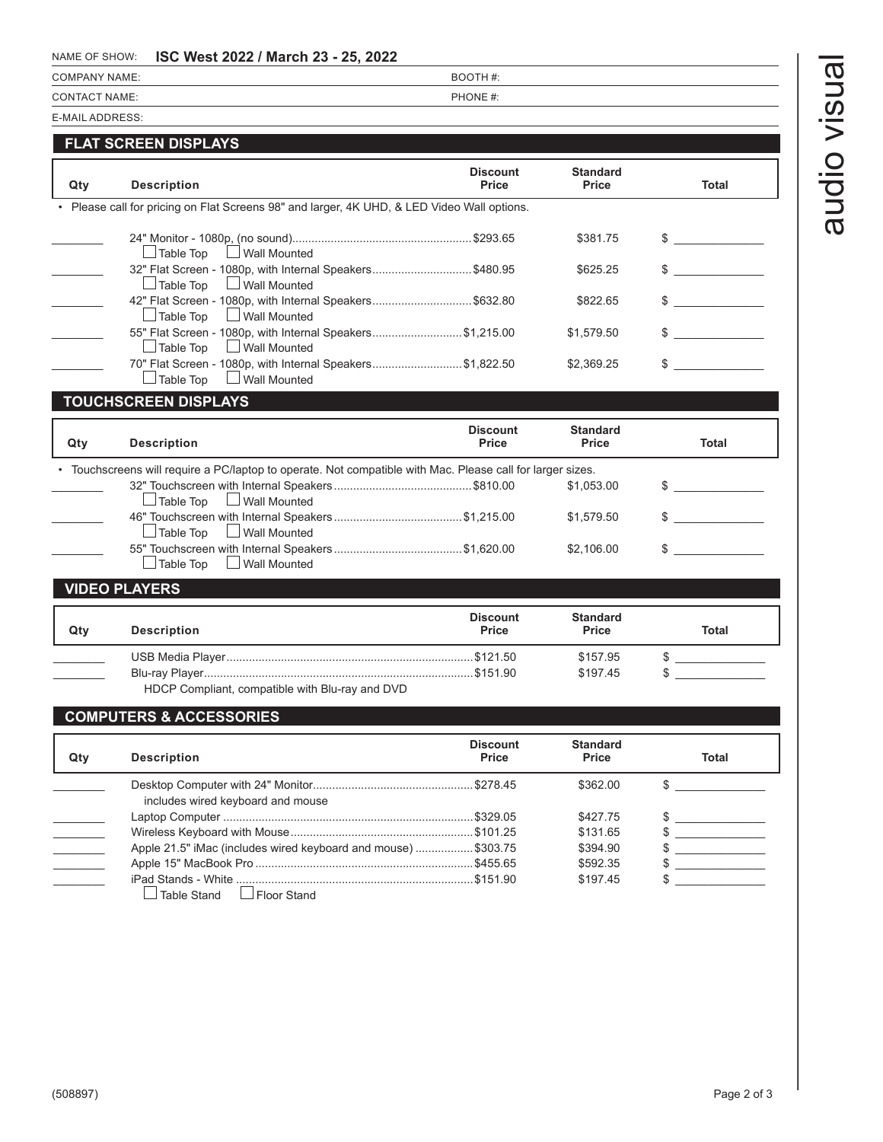# audio visual audio visual

## NAME OF SHOW: **ISC West 2022 / March 23 - 25, 2022**

| COMPANY NAME: | BOOTH #: |
|---------------|----------|
| CONTACT NAME: | PHONE #: |
|               |          |

E-MAIL ADDRESS:

# **FLAT SCREEN DISPLAYS**

| Qty | <b>Description</b>                                                                          | <b>Discount</b><br>Price | <b>Standard</b><br><b>Price</b> | Total |
|-----|---------------------------------------------------------------------------------------------|--------------------------|---------------------------------|-------|
|     | • Please call for pricing on Flat Screens 98" and larger, 4K UHD, & LED Video Wall options. |                          |                                 |       |
|     | Table Top<br>Wall Mounted                                                                   |                          | \$381.75                        |       |
|     | 32" Flat Screen - 1080p, with Internal Speakers\$480.95<br>Wall Mounted<br>Table Top        |                          | \$625.25                        |       |
|     | 42" Flat Screen - 1080p, with Internal Speakers\$632.80<br>□ Wall Mounted<br>Table Top      |                          | \$822.65                        |       |
|     | 55" Flat Screen - 1080p, with Internal Speakers\$1,215.00<br>□ Wall Mounted<br>Table Top    |                          | \$1.579.50                      |       |
|     | 70" Flat Screen - 1080p, with Internal Speakers\$1,822.50<br>Table Top                      |                          | \$2,369.25                      |       |

# **TOUCHSCREEN DISPLAYS**

| Qty | <b>Description</b>                                                                                         | <b>Discount</b><br>Price | <b>Standard</b><br>Price | Total         |
|-----|------------------------------------------------------------------------------------------------------------|--------------------------|--------------------------|---------------|
|     | • Touchscreens will require a PC/laptop to operate. Not compatible with Mac. Please call for larger sizes. |                          |                          |               |
|     | $\Box$ Table Top $\Box$ Wall Mounted                                                                       |                          | \$1.053.00               |               |
|     | $\Box$ Table Top $\Box$ Wall Mounted                                                                       |                          | \$1.579.50               | $\sim$        |
|     | $\Box$ Table Top $\Box$ Wall Mounted                                                                       |                          | \$2,106.00               | $\frac{1}{2}$ |
|     |                                                                                                            |                          |                          |               |

#### **VIDEO PLAYERS**

| Qty | <b>Description</b>                              | <b>Discount</b><br><b>Price</b> | <b>Standard</b><br><b>Price</b> | <b>Total</b> |
|-----|-------------------------------------------------|---------------------------------|---------------------------------|--------------|
|     |                                                 |                                 | \$157.95                        |              |
|     |                                                 |                                 | \$197.45                        |              |
|     | HDCP Compliant, compatible with Blu-ray and DVD |                                 |                                 |              |

# **COMPUTERS & ACCESSORIES**

| Qtv | <b>Description</b>                                            | <b>Discount</b><br>Price | <b>Standard</b><br>Price | <b>Total</b> |
|-----|---------------------------------------------------------------|--------------------------|--------------------------|--------------|
|     | includes wired keyboard and mouse                             |                          | \$362.00                 |              |
|     |                                                               |                          | \$427.75                 |              |
|     |                                                               |                          | \$131.65                 |              |
|     | Apple 21.5" iMac (includes wired keyboard and mouse) \$303.75 |                          | \$394.90                 |              |
|     |                                                               |                          | \$592.35                 |              |
|     | Table Stand<br>│ Floor Stand                                  |                          | \$197.45                 |              |